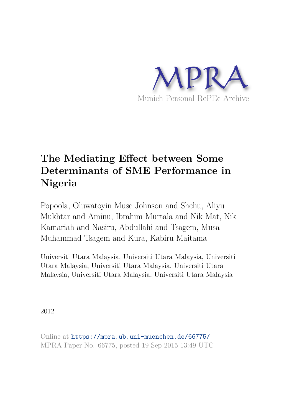

# **The Mediating Effect between Some Determinants of SME Performance in Nigeria**

Popoola, Oluwatoyin Muse Johnson and Shehu, Aliyu Mukhtar and Aminu, Ibrahim Murtala and Nik Mat, Nik Kamariah and Nasiru, Abdullahi and Tsagem, Musa Muhammad Tsagem and Kura, Kabiru Maitama

Universiti Utara Malaysia, Universiti Utara Malaysia, Universiti Utara Malaysia, Universiti Utara Malaysia, Universiti Utara Malaysia, Universiti Utara Malaysia, Universiti Utara Malaysia

2012

Online at https://mpra.ub.uni-muenchen.de/66775/ MPRA Paper No. 66775, posted 19 Sep 2015 13:49 UTC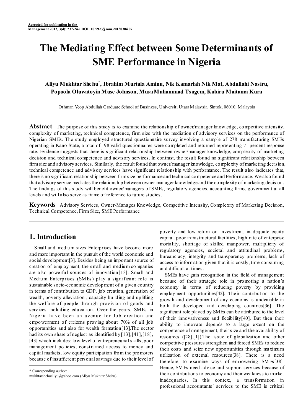# **The Mediating Effect between Some Determinants of SME Performance in Nigeria**

# **Aliyu Mukhtar Shehu\* , Ibrahim Murtala Aminu, Nik Kamariah Nik Mat, Abdullahi Nasiru, Popoola Oluwatoyin Muse Johnson, Musa Muhammad Tsagem, Kabiru Maitama Kura**

Othman Yeop Abdullah Graduate School of Business, Universiti Utara Malaysia, Sintok, 06010, Malaysia

**Abstract** The purpose of this study is to examine the relationship of owner/manager knowledge, competitive intensity, complexity of marketing, technical competence, firm size with the mediation of advisory services on the performance of Nigerian SMEs. The study employed structured questionnaire survey involving a sample of 278 manufacturing SMEs operating in Kano State, a total of 198 valid questionnaires were completed and returned representing 71 percent response rate. Evidence suggests that there is significant relationship between owner/manager knowledge, complexity of marketing decision and technical competence and advisory services. In contrast, the result found no significant relationship between firm size and advisory services. Similarly, the result found that owner/manager knowledge, complexity of marketing decision, technical competence and advisory services have significant relationship with performance. The result also indicates that, there is no significant relationship between firm size performance and technical competence and Performance. We also found that advisory service mediates the relationship between owner manager knowledge and the complexity of marketing decision. The findings of this study will benefit owner/managers of SMEs, regulatory agencies, accounting firms, government at all levels and will also serve as frame of reference to future studies.

**Keywords** Advisory Services, Owner-Manages Knowledge, Competitive Intensity, Complexity of Marketing Decision, Technical Competence, Firm Size, SME Performance

# **1. Introduction**

Small and medium sizes Enterprises have become more and more important in the pursuit of the world economic and social development[3]. Besides being an important source of creation of employment, the s mall and medium companies are also powerful sources of innovation[13]. Small and Medium Enterprises (SMEs ) play a significant role in sustainable socio-economic development of a given country in terms of contribution to GDP, job creation, generation of wealth, poverty alleviation , capacity building and uplifting the welfare of people through provis ion of goods and services including education. Over the years, SMEs in Niger ia have been an avenue for Job creation and empowerment of citizens proving about 70% of all job opportunities and also for wealth formation[13].The sector had its own share of neglect as identified by  $[13]$ ,  $[41]$ ,  $[18]$ , [43] which includes: low level of entrepreneurial skills, poor management policies, constrained access to money and capital markets, low equity participation from the promoters because of insufficient personal savings due to their level of

\* Corresponding author: mukhtarshehualiyu@yahoo.com (Aliyu Mukhtar Shehu)

poverty and low return on investment, inadequate equity capital, poor infrastructural facilities, high rate of enterprise mortality, shortage of skilled manpower, multiplicity of regulatory agencies, societal and attitudinal problems, bureaucracy, integrity and transparency problems, lack of access to information given that it is costly, time consuming and difficult at times.

SMEs have gain recognition in the field of management because of their strategic role in promoting a nation's economy in terms of reducing poverty by providing employment opportunities[42]. Their contribution to the growth and development of any economy is undeniable in both the developed and developing countries[36]. The significant role played by SMEs can be attributed to the level of their innovativeness and flexibility[40]. But then their ability to innovate depends to a large extent on the competence of management, their size and the availability of resources ([28],[1]).The issue of globalization and other competitive pressures strengthen and forced SMEs to reduce their costs and seize new opportunities through maximum utilization of external resources[38]. There is a need therefore, to examine ways of empowering SMEs[38]. Hence, SMEs need advice and support services because of their contributions to economy and their weakness to market inadequacies. In this context, a transformation in professional accountants' services to the SME is critical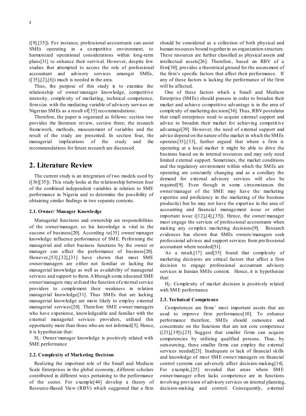([9],[35]). For instance, professional accountants can assist SMEs operating in a competitive environment, to harmonized operational considerations within long-term plans[31] to enhance their survival. However, despite few studies that attempted to access the role of professional accountant and advisory services amongst SMEs,  $([35],[2],[6])$  much is needed in the area.

Thus, the purpose of this study is to examine the relationship of owner/manager knowledge, competitive intensity, complexity of marketing, technical competence, firm size. with the mediating variable of advisory services on Nigerian SMEs as a result of[35] recommendations.

Therefore, the paper is organized as follows: section two provides the literature review, section three; the research framework, methods, measurement of variables and the result of the study are presented. In section four, the managerial implications of the study and the recommendations for future research are discussed.

### **2. Literature Review**

The current study is an integration of two models used by ([36][35]). This study looks at the relationship between four of the combined independent variables in relation to SME performance in Nigeria and to determine the possibility of obtaining similar findings in two separate contexts.

#### **2.1. Owner/ Manager Knowledge**

Managerial functions and ownership are responsibilities of the owner/manager, so his knowledge is vital to the success of business[20]. According to[35] owner/manager knowledge influence performance of SME. Performing the managerial and other business functions by the owner or manager can affect the performance of business[20]. However,[53],[32],[31] have shown that most SME owner/managers are either not familiar or lacking the managerial knowledge as well as availability of managerial services and support to them. Although some educated SME owner/managers may utilized the function of external service providers to complement their weakness in relation managerial knowledge[31]. Thus SMEs that are lacking managerial knowledge are more likely to employ external managerial services[20]. Therefore SME owner/managers who have experience, knowledgeable and familiar with the external managerial services providers, utilized this opportunity more than those who are not informed[5]. Hence, it is hypothesize that:

 $H<sub>1</sub>$ : Owner/manager knowledge is positively related with SME performance

#### **2.2. Complexity of Marketing Decision**

Realizing the important role of the Small and Medium Scale Enterprises in the global economy, different scholars contributed in different ways pertaining to the performance of the sector. For example[44] develop a theory of Resource-Based View (RBV) which suggested that a firm

should be considered as a collection of both physical and human resources bound together in an organization structure. These resources are further classified as physical assets and intellectual assets[26]. Therefore, based on RBV of a firm[30], provides a theoretical ground for the assessment of the firm's specific factors that affect their performance. If any of these factors is lacking the performance of the firm will be affected.

One of these factors which a Small and Medium Enterprise (SMEs) should possess in order to broaden their market and achieve competitive advantage is in the area of complexity of marketing decision[36]. Thus, RBV postulates that small enterprises need to acquire external support and advice to broaden their market for achieving competitive advantage[39]. However, the need of external support and advice depend on the nature of the market in which the SMEs operates[35].[33], further argued that where a firm is operating at a local market it might be able to drive the business based on its internal resources and may only need limited external support. Sometimes, the market conditions and the regulatory environment within which the SMEs are operating are constantly changing and as a corollary the demand for external advisory services will also be required[9]. Even though in some circumstances the owner/manager of the SME may have the marketing expertise and proficiency in the marketing of the business product(s) but he may not have the expertise in the area of accounting and financial management issue or other important issue ([12],[4],[35]). Hence, the owner/manager must engage the services of professional accountants when making any complex marketing decisions[9]. Research evidences has shown that SMEs owners/managers seek professional advises and support services from professional accountant where needed[51].

As a result,[17] and[35] found that complexity of marketing decisions are critical factors that affect a firm decision to engage professional accountant advisory services in Iranian SMEs context. Hence, it is hypothesize that:

H2: Complexity of market decision is positively related with SME performance

#### **2.3. Technical Competence**

Competences are firms' most important assets that are used to improve firm performance[10]. To enhance performance therefore, SMEs should outsource and concentrate on the functions that are not core competence  $([23],[19])$ .[25] Suggest that smaller firms can acquire competencies by utilizing qualified persons. Thus, by outsourcing, these smaller firms can employ the external services needed[23]. Inadequate or lack of financial skills and knowledge of most SME owner/managers on financial control systems can adversely affect decision-making[14]. For example,[25] revealed that areas where SME owner/manager often lacks competence are in functions involving provision of advisory services on internal planning, decision-making and control. Consequently, external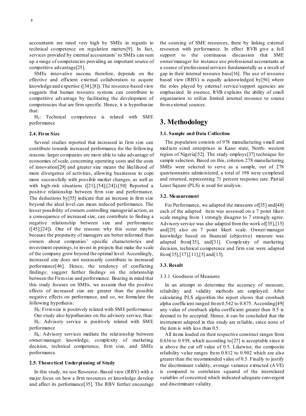accountants are rated very high by SMEs in regards to technical competence on regulation matters[9]. In fact, services provided by external accountants' to SMEs can sum up a range of competencies providing an important source of competitive advantage[25].

SMEs innovative success therefore, depends on the effective and efficient external collaboration to acquire knowledge and expertise ([34],[8]). The resource-based view suggests that human resource systems can contribute to competitive advantage by facilitating the development of competencies that are firm specific. Hence, it is hypothesize that:

H3: Technical competence is related with SME performance

#### **2.4. Firm Size**

Several studies reported that increased in firm size can contribute towards increased performance for the following reasons: larger companies are more able to take advantage of economies of scale, concerning operating costs and the costs of innovation[29] and greater size means the likelihood of more divergence of activities, allowing businesses to cope more successfully with possible market changes, as well as with high-risk situations ([21];[54];[24]).[50] Reported a positive relationship between firm size and performance. The deductions by[55] indicate that an increase in firm size beyond the ideal level can mean reduced performance. The lesser possibility of owners controlling managerial action, as a consequence of increased size, can contribute to finding a negative relationship between size and performance ([45];[24]). One of the reasons why this occur maybe because the propensity of managers are better informed than owners about companies' specific characteristics and investment openings, to invest in projects that make the scale of the company grow beyond the optimal level. Accordingly, increased size does not necessarily contribute to increased performance[46]. Hence, the tendency of conflicting findings; suggest further findings on the relationship between the Firm size and performance. Bearing in mind that this study focuses on SMEs, we assume that the positive effects of increased size are greater than the possible negative effects on performance, and so, we formulate the following hypothesis:

H4: Firm size is positively related with SME performance

Our study also hypothesizes on the advisory service, thus:  $H<sub>5</sub>$ : Advisory service is positively related with SME performance

 $H<sub>6</sub>$ : Advisory services mediate the relationship between owner/manager knowledge, complexity of marketing decision, technical competence, firm size, and SMEs performance.

#### **2.5. Theoretical Underpinning of Study**

In this study, we use Resource- Based view (RBV) with a major focus on how a firm resources or knowledge develop and affect its performance[35]. The RBV further encourage the sourcing of SME resources, there by linking external resources with performance. In effect RVB give a full support to the continuous discussion that SME owner/manager for instance use professional accountants as a source of professional services fundamentally as a result of gap in their internal resource base[16]. The use of resource based view (RBV) is equally acknowledged by[56] where the roles played by external service/support agencies are emphasized. In essence, RVB explains the ability of small organization to utilize limited internal resource to source from external sources.

### **3. Methodology**

#### **3.1. Sample and Data Collection**

The population consists of 978 manufacturing s mall and medium sized enterprises in Kano state, North- western region of Nigeria[52]. The study employs[37] technique for sample selection. Based on this, criterion 278 manufacturing SMEs were selected to serve as a sample, out of 278 questionnaires administered, a total of 198 were completed and returned, representing 71 percent response rate. Partial Least Square (PLS) is used for analysis.

#### **3.2. Measurement**

For Performance, we adapted the measures of [35] and [48] each of the adapted item was assessed on a 7 point likert scale ranging from 1 strongly disagree to 7 strongly agree. Advisory service was also adapted from the work of [35], [15] and[25] also on 7 point likert scale. Owner/manager knowledge based on financial (objective) measure was adapted from[35], and[31]. Complexity of marketing decision, technical competence and firm size were adapted from[35],[17],[11],[5] and[15].

#### **3.3. Result**

#### 3.3.1. Goodness of Measures

In an attempt to determine the accuracy of measure, reliability and validity methods are employed. After calculating PLS algorithm the report shows that cronbach alpha coefficient ranged from 0.542 to 0.875. According[49] any value of cronbach alpha coefficient greater than 0.5 is deemed to be accepted. Hence, it can be concluded that the instrument adapted in this study are reliable, since none of the item is with less than 0.5.

All items loaded on their respective construct ranges from 0.636 to 0.939, which according to[27] is acceptable since it is above the cut off value of 0.5. Likewise, the composite reliability value ranges from 0.812 to 0.902 which are also greater than the recommended value of 0.5. Finally to justify the discriminant validity, average variance extracted (AVE) is compared to correlation squared of the interrelated variables of concerned which indicated adequate convergent and discriminant validity.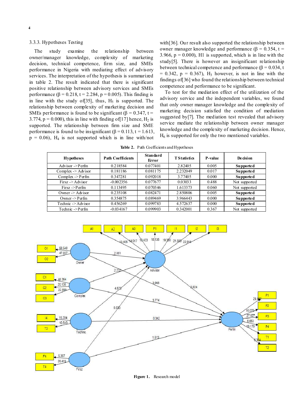#### 3.3.3. Hypotheses Testing

The study examine the relationship between owner/manager knowledge, complexity of marketing decision, technical competence, firm size, and SMEs performance in Nigeria with mediating effect of advisory services. The interpretation of the hypothesis is summarized in table 2. The result indicated that there is significant positive relationship between advisory services and SMEs performance (β = 0.218, t = 2.284, p = 0.005). This finding is in line with the study of  $[35]$ , thus,  $H<sub>5</sub>$  is supported. The relationship between complexity of marketing decision and SMEs performance is found to be significant ( $\beta = 0.347$ , t = 3.774,  $p = 0.000$ , this in line with finding of [17] hence,  $H_2$  is supported. The relationship between firm size and SME performance is found to be insignificant ( $\beta$  = 0.113, t = 1.613,  $p = 0.06$ ,  $H_4$  is not supported which is in line with/not

with[36]. Our result also supported the relationship between owner manager knowledge and performance (β =  $0.354$ , t = 3.966,  $p = 0.000$ , H<sub>1</sub> is supported, which is in line with the study[5]. There is however an insignificant relationship between technical competence and performance ( $β = 0.034$ , t  $= 0.342$ ,  $p = 0.367$ ),  $H_3$  however, is not in line with the findings of[36] who found the relationship between technical competence and performance to be significant.

To test for the mediation effect of the utilization of the advisory service and the independent variables, we found that only owner manager knowledge and the complexity of marketing decision satisfied the condition of mediation suggested by[7]. The mediation test revealed that advisory service mediate the relationship between owner manager knowledge and the complexity of marketing decision. Hence,  $H<sub>6</sub>$  is supported for only the two mentioned variables.

**Table 2.** Path Coefficients and Hypotheses

| <b>Hypotheses</b>             | <b>Path Coefficients</b> | Standard<br>Error | <b>T</b> Statistics | <b>P-value</b> | De cisi on    |
|-------------------------------|--------------------------|-------------------|---------------------|----------------|---------------|
| Advisor $\rightarrow$ Perfin  | 0.218584                 | 0.077401          | 2.82405             | 0.005          | Supported     |
| Complex $\rightarrow$ Advisor | 0.181186                 | 0.081175          | 2.232049            | 0.017          | Supported     |
| Complex $\rightarrow$ Perfm   | 0.347281                 | 0.092018          | 3.77405             | 0.000          | Supported     |
| $First \rightarrow Advisor$   | $-0.002356$              | 0.077677          | 0.03033             | 0.488          | Not supported |
| $First \rightarrow Perfm$     | 0.113495                 | 0.070346          | 1.613373            | 0.060          | Not supported |
| Owner $\rightarrow$ Advisor   | 0.235108                 | 0.082471          | 2.850806            | 0.005          | Supported     |
| Owner -> $P$ erfm             | 0.354875                 | 0.089469          | 3.966443            | 0.000          | Supported     |
| Technic -> Advisor            | 0.456269                 | 0.099783          | 4.572637            | 0.000          | Supported     |
| Technic ->Perfm               | $-0.034167$              | 0.099903          | 0.342001            | 0.367          | Not supported |



**Figure 1.** Research model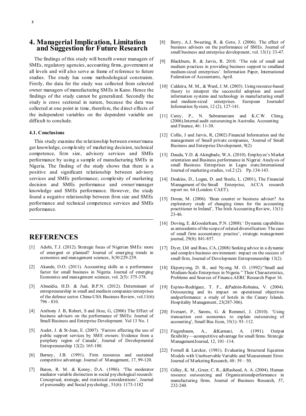The findings of this study will benefit owner managers of SMEs, regulatory agencies, accounting firms, government at all levels and will also serve as frame of reference to future studies. The study has some methodological constraints. Firstly, the data for the study was collected from selected owner managers of manufacturing SMEs in Kano. Hence the findings of the study cannot be generalized. Secondly the study is cross sectional in nature, because the data was collected at one point in time, therefore, the direct effects of the independent variables on the dependent variable are difficult to conclude.

**and Suggestion for Future Research**

#### **4.1. Conclusions**

This study examine the relationship between owner/mana ger knowledge, complexity of marketing decision, technical competence, firm size, advisory services and SMEs performance by using a sample of manufacturing SMEs in Nigeria. The finding of the study shows that there is a positive and significant relationship between advisory services and SMEs performance; complexity of marketing decision and SMEs performance and owner/manager knowledge and SMEs performance. However, the study found a negative relationship between firm size and SMEs performance and technical competence services and SMEs performance.

## **REFERENCES**

- [1] Adobi, T.J. (2012). Strategic focus of Nigerian SMEs: more of emergent or planned? Journal of emerging trends in economics and management sciences, 3(30:229-239.
- [2] Akande, O.O. (2011). Accounting skills as a performance factor for small business in Nigeria. Journal of emerging Economics and management sciences, vol. 2(5): 375-378.
- [3] Almeidia, H.D. & Jual, B.P.N. (2012). Determinant of entrepreneurship in small and medium companies/enterprises of the defense sector. China-USA Business Review, vol.11(6): 796 - 810.
- [4] Anthony J. B, Robert, S and Jitsu, G, (2006) The Effect of business advisers on the performance of SMEs: Journal of Small Business and Enterprise Development. Vol 13 No. 1
- [5] Audet, J. & St-Jean, E. (2007). 'Factors affecting the use of public support services by SME owners: Evidence from a periphery region of Canada', Journal of Developmental Entrepreneurship 12(2): 165-180.
- [6] Barney, J.B. (1991). Firm resources and sustained competitive advantage. Journal of Management, 17, 99-120.
- [7] Baron, R. M. & Kenny, D.A. (1986). 'The moderator mediator variable distinction in social psychological research: Conceptual, strategic, and statistical considerations', Journal of personality and Social psychology, 51(6): 1173-1182
- [8] Berry, A.J. Sweeting, R. & Goto, J. (2006). The effect of business advisers on the performance of SMEs. Journal of small business and enterprise development, vol. 13(1): 33-47.
- [9] Blackburn, R. & Jarvis, R. 2010. 'The role of small and medium practices in providing business support to smalland medium-sized enterprises'. Information Paper, International Federation of Accountants, April.
- [10] Caldeira, M. M., & Ward, J. M. (2003). Using resource-based theory to interpret the successful adoption and useof information systems and technology in manufacturing small and medium-sized enterprises. European Journalof Information System, 12 (2), 127-141.
- [11] Carey, P., N. Subramaniam and K.C.W. Ching, (2006).Internal audit outsourcing in Australia. Accounting and Finance, 46: 11-30.
- [12] Collis, J and Jarvis, R, (2002) Financial Information and the management of Small private companies, 'Journal of Small Business and Enterprise Development, 9(2)
- [13] Dauda, Y.D. & Akingbade, W.A. (2010). Employee's Market orientation and Business performance in Nigerai: Analysis of small Business Entreprises in Lagos state.International Journal of marketing studies, vol.2 (2). Pp.134-143.
- [14] Deakins, D., Logan, D. and Steele, L. (2001), The Financial Management of the Small Enterprise, ACCA research report no. 64 (London: CAET).
- [15] Doran, M. (2006). 'Bean counter or business adviser? An exploratory study of changing times for the accounting practitioner in Ireland', The Irish Accounting Review, 13(1): 23-46.
- [16] Doving, E. &Gooderham, P.N. (2008).' Dynamic capabilities as antecedents of the scope of related diversification: The case of small firm accountancy practice', strategic management journal, 29(8): 841-857.
- [17] Dyer, LM and Ross, CA, (2008) Seeking advice in a dynamic and complex business environment: impact on the success of small firm, Journal of Development Entrepreneurship 13(2).
- [18] Ekpenyong, D. B., and Nyong, M. O. (1992). Small and Medium-Scale Enterprises in Nigeria." Their Characteristics, Problems and Sources of Finance.AERC Research Paper 16.
- [19] Espino-Rodríguez, T. F., &Padrón-Robaina, V. (2004). Outsourcing and its impact on operational objectives andperformance: a study of hotels in the Canary Islands. Hospitality Management, 23(287-306).
- [20] Everaert, P., Sarens, G. & Rommel, J. (2010). 'Using transaction cost economics to explain outsourcing of accounting', Small Bus Econ, 35(1): 93–112.
- [21] Fiegenbaum, A., &Karnani, A. (1991). Output flexibility—acompetitive advantage for small firms. Strategic ManagementJournal, 12, 101–114.
- [22] Fornell & Larcker, (1981). Evaluating Structural Equation Models with Unobservable Variable and Measurement Error. Journal of Marketing Research, 48: 39 – 50.
- [23] Gilley, K. M., Greer, C. R., &Rasheed, A. A. (2004). Human resource outsourcing and Organizationalperformance in manufacturing firms. Journal of Business Research, 57, 232-240.